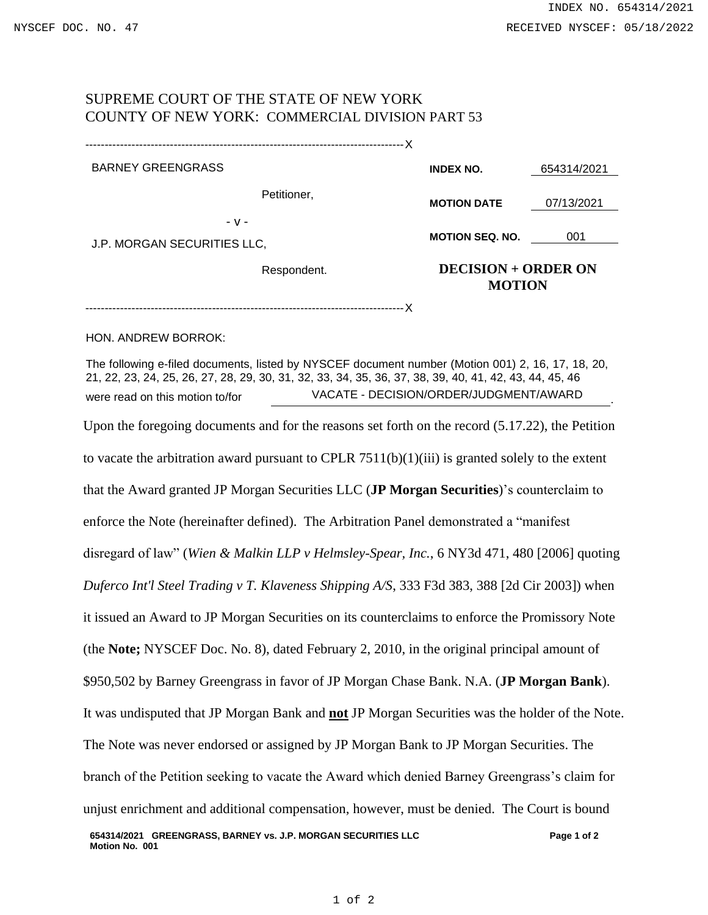.

## SUPREME COURT OF THE STATE OF NEW YORK COUNTY OF NEW YORK: COMMERCIAL DIVISION PART 53

-----------------------------------------------------------------------------------X

| <b>BARNEY GREENGRASS</b>    |             | <b>INDEX NO.</b>       | 654314/2021                                 |  |
|-----------------------------|-------------|------------------------|---------------------------------------------|--|
|                             | Petitioner, | <b>MOTION DATE</b>     | 07/13/2021                                  |  |
| $-V -$                      |             | <b>MOTION SEQ. NO.</b> | 001                                         |  |
| J.P. MORGAN SECURITIES LLC, | Respondent. |                        | <b>DECISION + ORDER ON</b><br><b>MOTION</b> |  |

-----------------------------------------------------------------------------------X

HON. ANDREW BORROK:

The following e-filed documents, listed by NYSCEF document number (Motion 001) 2, 16, 17, 18, 20, 21, 22, 23, 24, 25, 26, 27, 28, 29, 30, 31, 32, 33, 34, 35, 36, 37, 38, 39, 40, 41, 42, 43, 44, 45, 46 were read on this motion to/for VACATE - DECISION/ORDER/JUDGMENT/AWARD

**Page 1 of 2** Upon the foregoing documents and for the reasons set forth on the record (5.17.22), the Petition to vacate the arbitration award pursuant to CPLR  $7511(b)(1)(iii)$  is granted solely to the extent that the Award granted JP Morgan Securities LLC (**JP Morgan Securities**)'s counterclaim to enforce the Note (hereinafter defined). The Arbitration Panel demonstrated a "manifest disregard of law" (*Wien & Malkin LLP v Helmsley-Spear, Inc.*, 6 NY3d 471, 480 [2006] quoting *Duferco Int'l Steel Trading v T. Klaveness Shipping A/S*, 333 F3d 383, 388 [2d Cir 2003]) when it issued an Award to JP Morgan Securities on its counterclaims to enforce the Promissory Note (the **Note;** NYSCEF Doc. No. 8), dated February 2, 2010, in the original principal amount of \$950,502 by Barney Greengrass in favor of JP Morgan Chase Bank. N.A. (**JP Morgan Bank**). It was undisputed that JP Morgan Bank and **not** JP Morgan Securities was the holder of the Note. The Note was never endorsed or assigned by JP Morgan Bank to JP Morgan Securities. The branch of the Petition seeking to vacate the Award which denied Barney Greengrass's claim for unjust enrichment and additional compensation, however, must be denied. The Court is bound